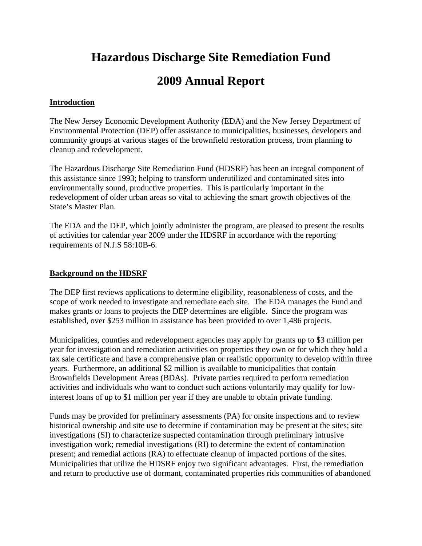# **Hazardous Discharge Site Remediation Fund**

# **2009 Annual Report**

# **Introduction**

The New Jersey Economic Development Authority (EDA) and the New Jersey Department of Environmental Protection (DEP) offer assistance to municipalities, businesses, developers and community groups at various stages of the brownfield restoration process, from planning to cleanup and redevelopment.

The Hazardous Discharge Site Remediation Fund (HDSRF) has been an integral component of this assistance since 1993; helping to transform underutilized and contaminated sites into environmentally sound, productive properties. This is particularly important in the redevelopment of older urban areas so vital to achieving the smart growth objectives of the State's Master Plan.

The EDA and the DEP, which jointly administer the program, are pleased to present the results of activities for calendar year 2009 under the HDSRF in accordance with the reporting requirements of N.J.S 58:10B-6.

# **Background on the HDSRF**

The DEP first reviews applications to determine eligibility, reasonableness of costs, and the scope of work needed to investigate and remediate each site. The EDA manages the Fund and makes grants or loans to projects the DEP determines are eligible. Since the program was established, over \$253 million in assistance has been provided to over 1,486 projects.

Municipalities, counties and redevelopment agencies may apply for grants up to \$3 million per year for investigation and remediation activities on properties they own or for which they hold a tax sale certificate and have a comprehensive plan or realistic opportunity to develop within three years. Furthermore, an additional \$2 million is available to municipalities that contain Brownfields Development Areas (BDAs). Private parties required to perform remediation activities and individuals who want to conduct such actions voluntarily may qualify for lowinterest loans of up to \$1 million per year if they are unable to obtain private funding.

Funds may be provided for preliminary assessments (PA) for onsite inspections and to review historical ownership and site use to determine if contamination may be present at the sites; site investigations (SI) to characterize suspected contamination through preliminary intrusive investigation work; remedial investigations (RI) to determine the extent of contamination present; and remedial actions (RA) to effectuate cleanup of impacted portions of the sites. Municipalities that utilize the HDSRF enjoy two significant advantages. First, the remediation and return to productive use of dormant, contaminated properties rids communities of abandoned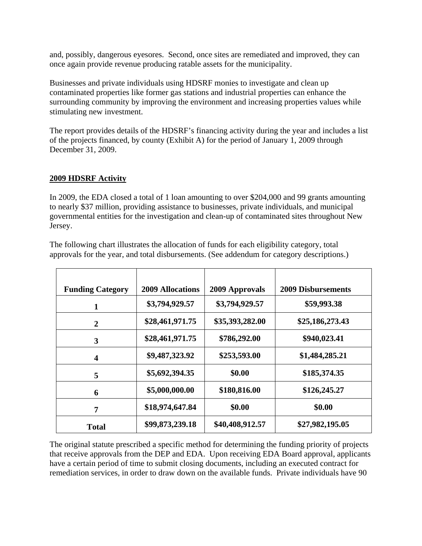and, possibly, dangerous eyesores. Second, once sites are remediated and improved, they can once again provide revenue producing ratable assets for the municipality.

Businesses and private individuals using HDSRF monies to investigate and clean up contaminated properties like former gas stations and industrial properties can enhance the surrounding community by improving the environment and increasing properties values while stimulating new investment.

The report provides details of the HDSRF's financing activity during the year and includes a list of the projects financed, by county (Exhibit A) for the period of January 1, 2009 through December 31, 2009.

# **2009 HDSRF Activity**

In 2009, the EDA closed a total of 1 loan amounting to over \$204,000 and 99 grants amounting to nearly \$37 million, providing assistance to businesses, private individuals, and municipal governmental entities for the investigation and clean-up of contaminated sites throughout New Jersey.

| <b>Funding Category</b> | <b>2009 Allocations</b> | 2009 Approvals  | <b>2009 Disbursements</b> |
|-------------------------|-------------------------|-----------------|---------------------------|
| $\mathbf{1}$            | \$3,794,929.57          | \$3,794,929.57  | \$59,993.38               |
| $\overline{2}$          | \$28,461,971.75         | \$35,393,282.00 | \$25,186,273.43           |
| 3                       | \$28,461,971.75         | \$786,292.00    | \$940,023.41              |
| $\overline{\mathbf{4}}$ | \$9,487,323.92          | \$253,593.00    | \$1,484,285.21            |
| 5                       | \$5,692,394.35          | \$0.00          | \$185,374.35              |
| 6                       | \$5,000,000.00          | \$180,816.00    | \$126,245.27              |
| 7                       | \$18,974,647.84         | \$0.00          | \$0.00                    |
| Total                   | \$99,873,239.18         | \$40,408,912.57 | \$27,982,195.05           |

The following chart illustrates the allocation of funds for each eligibility category, total approvals for the year, and total disbursements. (See addendum for category descriptions.)

The original statute prescribed a specific method for determining the funding priority of projects that receive approvals from the DEP and EDA. Upon receiving EDA Board approval, applicants have a certain period of time to submit closing documents, including an executed contract for remediation services, in order to draw down on the available funds. Private individuals have 90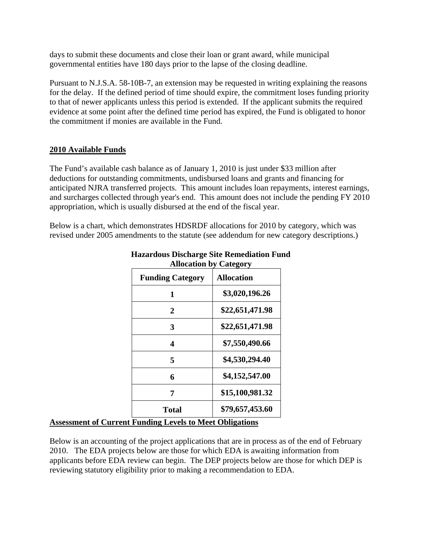days to submit these documents and close their loan or grant award, while municipal governmental entities have 180 days prior to the lapse of the closing deadline.

Pursuant to N.J.S.A. 58-10B-7, an extension may be requested in writing explaining the reasons for the delay. If the defined period of time should expire, the commitment loses funding priority to that of newer applicants unless this period is extended. If the applicant submits the required evidence at some point after the defined time period has expired, the Fund is obligated to honor the commitment if monies are available in the Fund.

# **2010 Available Funds**

The Fund's available cash balance as of January 1, 2010 is just under \$33 million after deductions for outstanding commitments, undisbursed loans and grants and financing for anticipated NJRA transferred projects. This amount includes loan repayments, interest earnings, and surcharges collected through year's end. This amount does not include the pending FY 2010 appropriation, which is usually disbursed at the end of the fiscal year.

Below is a chart, which demonstrates HDSRDF allocations for 2010 by category, which was revised under 2005 amendments to the statute (see addendum for new category descriptions.)

| Aliutativii Dy Cattgul y |
|--------------------------|
| <b>Allocation</b>        |
| \$3,020,196.26           |
| \$22,651,471.98          |
| \$22,651,471.98          |
| \$7,550,490.66           |
| \$4,530,294.40           |
| \$4,152,547.00           |
| \$15,100,981.32          |
| \$79,657,453.60          |
|                          |

#### **Hazardous Discharge Site Remediation Fund Allocation by Category**

# **Assessment of Current Funding Levels to Meet Obligations**

Below is an accounting of the project applications that are in process as of the end of February 2010. The EDA projects below are those for which EDA is awaiting information from applicants before EDA review can begin. The DEP projects below are those for which DEP is reviewing statutory eligibility prior to making a recommendation to EDA.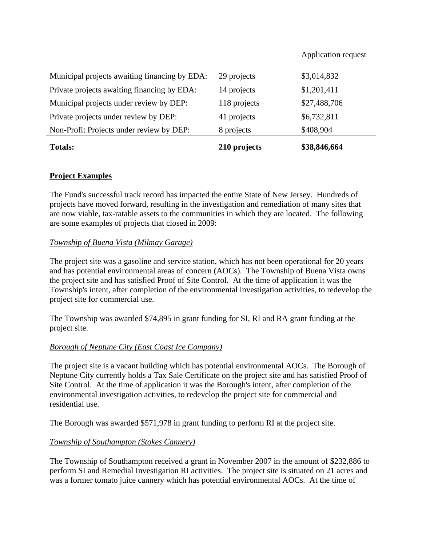#### Application request

| <b>Totals:</b>                                | 210 projects | \$38,846,664 |
|-----------------------------------------------|--------------|--------------|
| Non-Profit Projects under review by DEP:      | 8 projects   | \$408,904    |
| Private projects under review by DEP:         | 41 projects  | \$6,732,811  |
| Municipal projects under review by DEP:       | 118 projects | \$27,488,706 |
| Private projects awaiting financing by EDA:   | 14 projects  | \$1,201,411  |
| Municipal projects awaiting financing by EDA: | 29 projects  | \$3,014,832  |

#### **Project Examples**

The Fund's successful track record has impacted the entire State of New Jersey. Hundreds of projects have moved forward, resulting in the investigation and remediation of many sites that are now viable, tax-ratable assets to the communities in which they are located. The following are some examples of projects that closed in 2009:

#### *Township of Buena Vista (Milmay Garage)*

The project site was a gasoline and service station, which has not been operational for 20 years and has potential environmental areas of concern (AOCs). The Township of Buena Vista owns the project site and has satisfied Proof of Site Control. At the time of application it was the Township's intent, after completion of the environmental investigation activities, to redevelop the project site for commercial use.

The Township was awarded \$74,895 in grant funding for SI, RI and RA grant funding at the project site.

#### *Borough of Neptune City (East Coast Ice Company)*

The project site is a vacant building which has potential environmental AOCs. The Borough of Neptune City currently holds a Tax Sale Certificate on the project site and has satisfied Proof of Site Control. At the time of application it was the Borough's intent, after completion of the environmental investigation activities, to redevelop the project site for commercial and residential use.

The Borough was awarded \$571,978 in grant funding to perform RI at the project site.

#### *Township of Southampton (Stokes Cannery)*

The Township of Southampton received a grant in November 2007 in the amount of \$232,886 to perform SI and Remedial Investigation RI activities. The project site is situated on 21 acres and was a former tomato juice cannery which has potential environmental AOCs. At the time of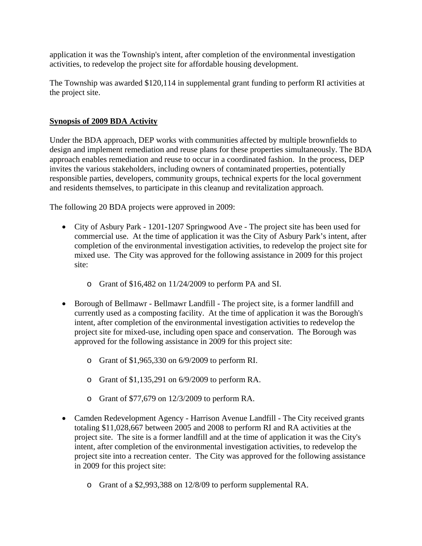application it was the Township's intent, after completion of the environmental investigation activities, to redevelop the project site for affordable housing development.

The Township was awarded \$120,114 in supplemental grant funding to perform RI activities at the project site.

## **Synopsis of 2009 BDA Activity**

Under the BDA approach, DEP works with communities affected by multiple brownfields to design and implement remediation and reuse plans for these properties simultaneously. The BDA approach enables remediation and reuse to occur in a coordinated fashion. In the process, DEP invites the various stakeholders, including owners of contaminated properties, potentially responsible parties, developers, community groups, technical experts for the local government and residents themselves, to participate in this cleanup and revitalization approach.

The following 20 BDA projects were approved in 2009:

- City of Asbury Park 1201-1207 Springwood Ave The project site has been used for commercial use. At the time of application it was the City of Asbury Park's intent, after completion of the environmental investigation activities, to redevelop the project site for mixed use. The City was approved for the following assistance in 2009 for this project site:
	- o Grant of \$16,482 on 11/24/2009 to perform PA and SI.
- Borough of Bellmawr Bellmawr Landfill The project site, is a former landfill and currently used as a composting facility. At the time of application it was the Borough's intent, after completion of the environmental investigation activities to redevelop the project site for mixed-use, including open space and conservation. The Borough was approved for the following assistance in 2009 for this project site:
	- o Grant of \$1,965,330 on 6/9/2009 to perform RI.
	- o Grant of \$1,135,291 on 6/9/2009 to perform RA.
	- o Grant of \$77,679 on 12/3/2009 to perform RA.
- Camden Redevelopment Agency Harrison Avenue Landfill The City received grants totaling \$11,028,667 between 2005 and 2008 to perform RI and RA activities at the project site. The site is a former landfill and at the time of application it was the City's intent, after completion of the environmental investigation activities, to redevelop the project site into a recreation center. The City was approved for the following assistance in 2009 for this project site:
	- o Grant of a \$2,993,388 on 12/8/09 to perform supplemental RA.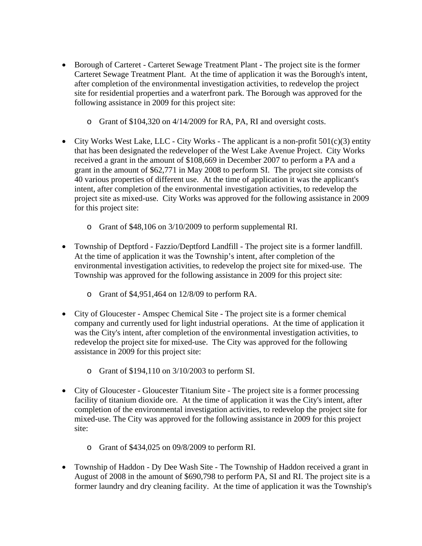- Borough of Carteret Carteret Sewage Treatment Plant The project site is the former Carteret Sewage Treatment Plant. At the time of application it was the Borough's intent, after completion of the environmental investigation activities, to redevelop the project site for residential properties and a waterfront park. The Borough was approved for the following assistance in 2009 for this project site:
	- o Grant of \$104,320 on 4/14/2009 for RA, PA, RI and oversight costs.
- City Works West Lake, LLC City Works The applicant is a non-profit  $501(c)(3)$  entity that has been designated the redeveloper of the West Lake Avenue Project. City Works received a grant in the amount of \$108,669 in December 2007 to perform a PA and a grant in the amount of \$62,771 in May 2008 to perform SI. The project site consists of 40 various properties of different use. At the time of application it was the applicant's intent, after completion of the environmental investigation activities, to redevelop the project site as mixed-use. City Works was approved for the following assistance in 2009 for this project site:
	- o Grant of \$48,106 on 3/10/2009 to perform supplemental RI.
- Township of Deptford Fazzio/Deptford Landfill The project site is a former landfill. At the time of application it was the Township's intent, after completion of the environmental investigation activities, to redevelop the project site for mixed-use. The Township was approved for the following assistance in 2009 for this project site:
	- o Grant of \$4,951,464 on 12/8/09 to perform RA.
- City of Gloucester Amspec Chemical Site The project site is a former chemical company and currently used for light industrial operations. At the time of application it was the City's intent, after completion of the environmental investigation activities, to redevelop the project site for mixed-use. The City was approved for the following assistance in 2009 for this project site:
	- o Grant of \$194,110 on 3/10/2003 to perform SI.
- City of Gloucester Gloucester Titanium Site The project site is a former processing facility of titanium dioxide ore. At the time of application it was the City's intent, after completion of the environmental investigation activities, to redevelop the project site for mixed-use. The City was approved for the following assistance in 2009 for this project site:
	- o Grant of \$434,025 on 09/8/2009 to perform RI.
- Township of Haddon Dy Dee Wash Site The Township of Haddon received a grant in August of 2008 in the amount of \$690,798 to perform PA, SI and RI. The project site is a former laundry and dry cleaning facility. At the time of application it was the Township's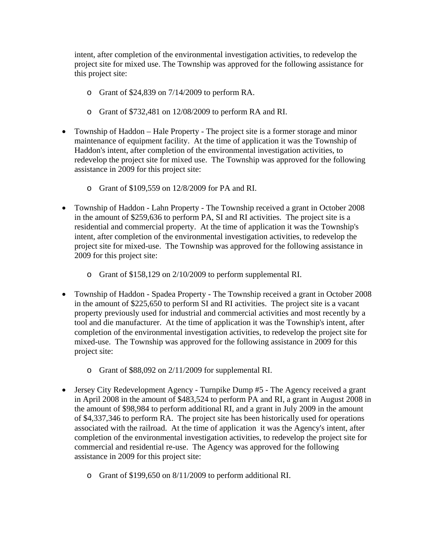intent, after completion of the environmental investigation activities, to redevelop the project site for mixed use. The Township was approved for the following assistance for this project site:

- o Grant of \$24,839 on 7/14/2009 to perform RA.
- o Grant of \$732,481 on 12/08/2009 to perform RA and RI.
- Township of Haddon Hale Property The project site is a former storage and minor maintenance of equipment facility. At the time of application it was the Township of Haddon's intent, after completion of the environmental investigation activities, to redevelop the project site for mixed use. The Township was approved for the following assistance in 2009 for this project site:
	- o Grant of \$109,559 on 12/8/2009 for PA and RI.
- Township of Haddon Lahn Property The Township received a grant in October 2008 in the amount of \$259,636 to perform PA, SI and RI activities. The project site is a residential and commercial property. At the time of application it was the Township's intent, after completion of the environmental investigation activities, to redevelop the project site for mixed-use. The Township was approved for the following assistance in 2009 for this project site:
	- o Grant of \$158,129 on 2/10/2009 to perform supplemental RI.
- Township of Haddon Spadea Property The Township received a grant in October 2008 in the amount of \$225,650 to perform SI and RI activities. The project site is a vacant property previously used for industrial and commercial activities and most recently by a tool and die manufacturer. At the time of application it was the Township's intent, after completion of the environmental investigation activities, to redevelop the project site for mixed-use. The Township was approved for the following assistance in 2009 for this project site:
	- o Grant of \$88,092 on 2/11/2009 for supplemental RI.
- Jersey City Redevelopment Agency Turnpike Dump #5 The Agency received a grant in April 2008 in the amount of \$483,524 to perform PA and RI, a grant in August 2008 in the amount of \$98,984 to perform additional RI, and a grant in July 2009 in the amount of \$4,337,346 to perform RA. The project site has been historically used for operations associated with the railroad. At the time of application it was the Agency's intent, after completion of the environmental investigation activities, to redevelop the project site for commercial and residential re-use. The Agency was approved for the following assistance in 2009 for this project site:
	- o Grant of \$199,650 on 8/11/2009 to perform additional RI.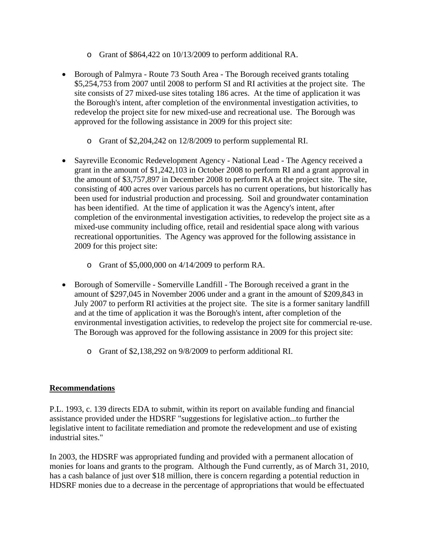- o Grant of \$864,422 on 10/13/2009 to perform additional RA.
- Borough of Palmyra Route 73 South Area The Borough received grants totaling \$5,254,753 from 2007 until 2008 to perform SI and RI activities at the project site. The site consists of 27 mixed-use sites totaling 186 acres. At the time of application it was the Borough's intent, after completion of the environmental investigation activities, to redevelop the project site for new mixed-use and recreational use. The Borough was approved for the following assistance in 2009 for this project site:
	- o Grant of \$2,204,242 on 12/8/2009 to perform supplemental RI.
- Sayreville Economic Redevelopment Agency National Lead The Agency received a grant in the amount of \$1,242,103 in October 2008 to perform RI and a grant approval in the amount of \$3,757,897 in December 2008 to perform RA at the project site. The site, consisting of 400 acres over various parcels has no current operations, but historically has been used for industrial production and processing. Soil and groundwater contamination has been identified. At the time of application it was the Agency's intent, after completion of the environmental investigation activities, to redevelop the project site as a mixed-use community including office, retail and residential space along with various recreational opportunities. The Agency was approved for the following assistance in 2009 for this project site:
	- o Grant of \$5,000,000 on 4/14/2009 to perform RA.
- Borough of Somerville Somerville Landfill The Borough received a grant in the amount of \$297,045 in November 2006 under and a grant in the amount of \$209,843 in July 2007 to perform RI activities at the project site. The site is a former sanitary landfill and at the time of application it was the Borough's intent, after completion of the environmental investigation activities, to redevelop the project site for commercial re-use. The Borough was approved for the following assistance in 2009 for this project site:
	- o Grant of \$2,138,292 on 9/8/2009 to perform additional RI.

# **Recommendations**

P.L. 1993, c. 139 directs EDA to submit, within its report on available funding and financial assistance provided under the HDSRF "suggestions for legislative action...to further the legislative intent to facilitate remediation and promote the redevelopment and use of existing industrial sites."

In 2003, the HDSRF was appropriated funding and provided with a permanent allocation of monies for loans and grants to the program. Although the Fund currently, as of March 31, 2010, has a cash balance of just over \$18 million, there is concern regarding a potential reduction in HDSRF monies due to a decrease in the percentage of appropriations that would be effectuated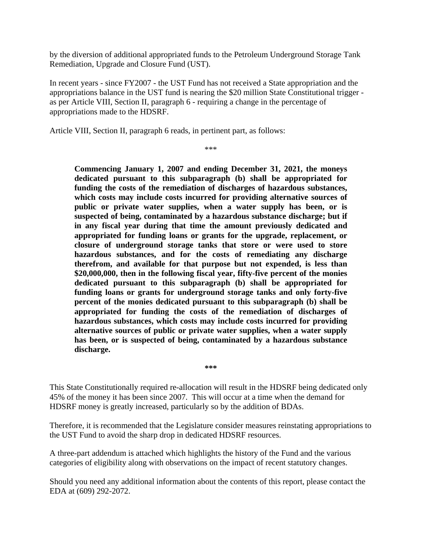by the diversion of additional appropriated funds to the Petroleum Underground Storage Tank Remediation, Upgrade and Closure Fund (UST).

In recent years - since FY2007 - the UST Fund has not received a State appropriation and the appropriations balance in the UST fund is nearing the \$20 million State Constitutional trigger as per Article VIII, Section II, paragraph 6 - requiring a change in the percentage of appropriations made to the HDSRF.

Article VIII, Section II, paragraph 6 reads, in pertinent part, as follows:

\*\*\*

**Commencing January 1, 2007 and ending December 31, 2021, the moneys dedicated pursuant to this subparagraph (b) shall be appropriated for funding the costs of the remediation of discharges of hazardous substances, which costs may include costs incurred for providing alternative sources of public or private water supplies, when a water supply has been, or is suspected of being, contaminated by a hazardous substance discharge; but if in any fiscal year during that time the amount previously dedicated and appropriated for funding loans or grants for the upgrade, replacement, or closure of underground storage tanks that store or were used to store hazardous substances, and for the costs of remediating any discharge therefrom, and available for that purpose but not expended, is less than \$20,000,000, then in the following fiscal year, fifty-five percent of the monies dedicated pursuant to this subparagraph (b) shall be appropriated for funding loans or grants for underground storage tanks and only forty-five percent of the monies dedicated pursuant to this subparagraph (b) shall be appropriated for funding the costs of the remediation of discharges of hazardous substances, which costs may include costs incurred for providing alternative sources of public or private water supplies, when a water supply has been, or is suspected of being, contaminated by a hazardous substance discharge.** 

**\*\*\*** 

This State Constitutionally required re-allocation will result in the HDSRF being dedicated only 45% of the money it has been since 2007. This will occur at a time when the demand for HDSRF money is greatly increased, particularly so by the addition of BDAs.

Therefore, it is recommended that the Legislature consider measures reinstating appropriations to the UST Fund to avoid the sharp drop in dedicated HDSRF resources.

A three-part addendum is attached which highlights the history of the Fund and the various categories of eligibility along with observations on the impact of recent statutory changes.

Should you need any additional information about the contents of this report, please contact the EDA at (609) 292-2072.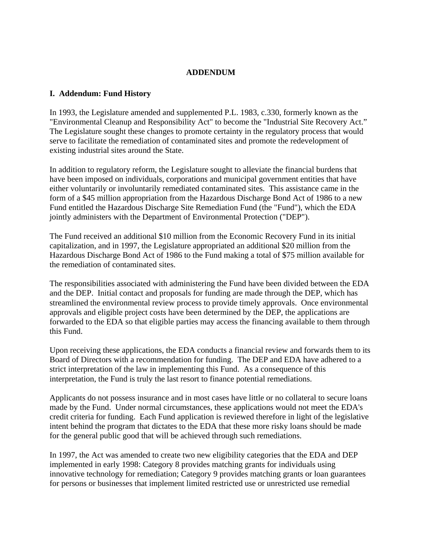#### **ADDENDUM**

#### **I. Addendum: Fund History**

In 1993, the Legislature amended and supplemented P.L. 1983, c.330, formerly known as the "Environmental Cleanup and Responsibility Act" to become the "Industrial Site Recovery Act." The Legislature sought these changes to promote certainty in the regulatory process that would serve to facilitate the remediation of contaminated sites and promote the redevelopment of existing industrial sites around the State.

In addition to regulatory reform, the Legislature sought to alleviate the financial burdens that have been imposed on individuals, corporations and municipal government entities that have either voluntarily or involuntarily remediated contaminated sites. This assistance came in the form of a \$45 million appropriation from the Hazardous Discharge Bond Act of 1986 to a new Fund entitled the Hazardous Discharge Site Remediation Fund (the "Fund"), which the EDA jointly administers with the Department of Environmental Protection ("DEP").

The Fund received an additional \$10 million from the Economic Recovery Fund in its initial capitalization, and in 1997, the Legislature appropriated an additional \$20 million from the Hazardous Discharge Bond Act of 1986 to the Fund making a total of \$75 million available for the remediation of contaminated sites.

The responsibilities associated with administering the Fund have been divided between the EDA and the DEP. Initial contact and proposals for funding are made through the DEP, which has streamlined the environmental review process to provide timely approvals. Once environmental approvals and eligible project costs have been determined by the DEP, the applications are forwarded to the EDA so that eligible parties may access the financing available to them through this Fund.

Upon receiving these applications, the EDA conducts a financial review and forwards them to its Board of Directors with a recommendation for funding. The DEP and EDA have adhered to a strict interpretation of the law in implementing this Fund. As a consequence of this interpretation, the Fund is truly the last resort to finance potential remediations.

Applicants do not possess insurance and in most cases have little or no collateral to secure loans made by the Fund. Under normal circumstances, these applications would not meet the EDA's credit criteria for funding. Each Fund application is reviewed therefore in light of the legislative intent behind the program that dictates to the EDA that these more risky loans should be made for the general public good that will be achieved through such remediations.

In 1997, the Act was amended to create two new eligibility categories that the EDA and DEP implemented in early 1998: Category 8 provides matching grants for individuals using innovative technology for remediation; Category 9 provides matching grants or loan guarantees for persons or businesses that implement limited restricted use or unrestricted use remedial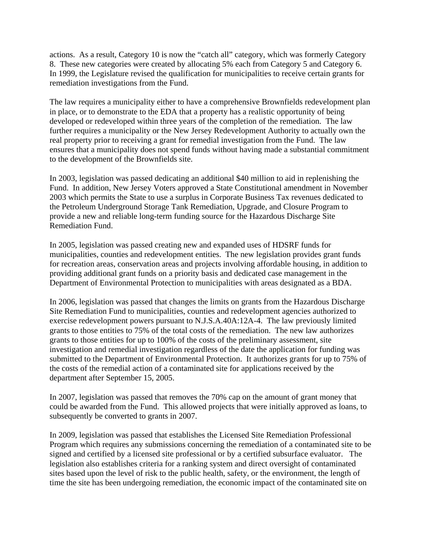actions. As a result, Category 10 is now the "catch all" category, which was formerly Category 8. These new categories were created by allocating 5% each from Category 5 and Category 6. In 1999, the Legislature revised the qualification for municipalities to receive certain grants for remediation investigations from the Fund.

The law requires a municipality either to have a comprehensive Brownfields redevelopment plan in place, or to demonstrate to the EDA that a property has a realistic opportunity of being developed or redeveloped within three years of the completion of the remediation. The law further requires a municipality or the New Jersey Redevelopment Authority to actually own the real property prior to receiving a grant for remedial investigation from the Fund. The law ensures that a municipality does not spend funds without having made a substantial commitment to the development of the Brownfields site.

In 2003, legislation was passed dedicating an additional \$40 million to aid in replenishing the Fund. In addition, New Jersey Voters approved a State Constitutional amendment in November 2003 which permits the State to use a surplus in Corporate Business Tax revenues dedicated to the Petroleum Underground Storage Tank Remediation, Upgrade, and Closure Program to provide a new and reliable long-term funding source for the Hazardous Discharge Site Remediation Fund.

In 2005, legislation was passed creating new and expanded uses of HDSRF funds for municipalities, counties and redevelopment entities. The new legislation provides grant funds for recreation areas, conservation areas and projects involving affordable housing, in addition to providing additional grant funds on a priority basis and dedicated case management in the Department of Environmental Protection to municipalities with areas designated as a BDA.

In 2006, legislation was passed that changes the limits on grants from the Hazardous Discharge Site Remediation Fund to municipalities, counties and redevelopment agencies authorized to exercise redevelopment powers pursuant to N.J.S.A.40A:12A-4. The law previously limited grants to those entities to 75% of the total costs of the remediation. The new law authorizes grants to those entities for up to 100% of the costs of the preliminary assessment, site investigation and remedial investigation regardless of the date the application for funding was submitted to the Department of Environmental Protection. It authorizes grants for up to 75% of the costs of the remedial action of a contaminated site for applications received by the department after September 15, 2005.

In 2007, legislation was passed that removes the 70% cap on the amount of grant money that could be awarded from the Fund. This allowed projects that were initially approved as loans, to subsequently be converted to grants in 2007.

In 2009, legislation was passed that establishes the Licensed Site Remediation Professional Program which requires any submissions concerning the remediation of a contaminated site to be signed and certified by a licensed site professional or by a certified subsurface evaluator. The legislation also establishes criteria for a ranking system and direct oversight of contaminated sites based upon the level of risk to the public health, safety, or the environment, the length of time the site has been undergoing remediation, the economic impact of the contaminated site on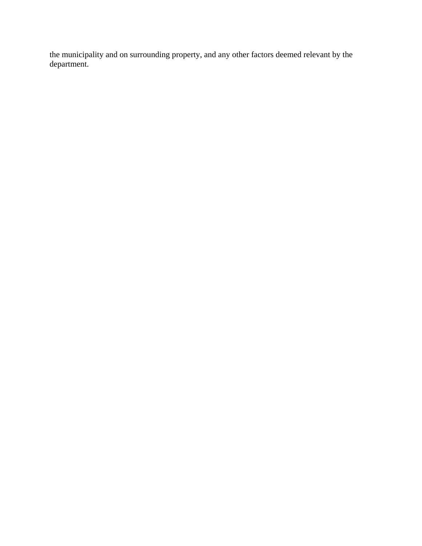the municipality and on surrounding property, and any other factors deemed relevant by the department.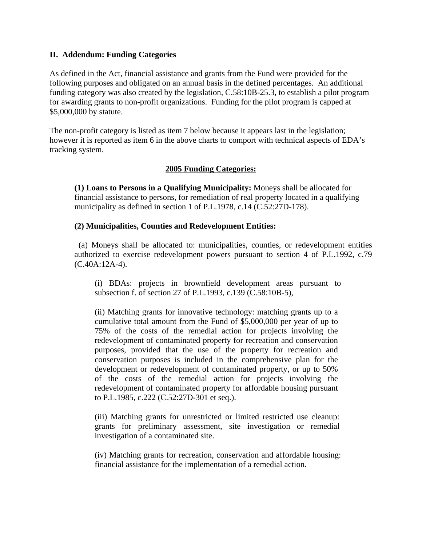#### **II. Addendum: Funding Categories**

As defined in the Act, financial assistance and grants from the Fund were provided for the following purposes and obligated on an annual basis in the defined percentages. An additional funding category was also created by the legislation, C.58:10B-25.3, to establish a pilot program for awarding grants to non-profit organizations. Funding for the pilot program is capped at \$5,000,000 by statute.

The non-profit category is listed as item 7 below because it appears last in the legislation; however it is reported as item 6 in the above charts to comport with technical aspects of EDA's tracking system.

#### **2005 Funding Categories:**

**(1) Loans to Persons in a Qualifying Municipality:** Moneys shall be allocated for financial assistance to persons, for remediation of real property located in a qualifying municipality as defined in section 1 of P.L.1978, c.14 (C.52:27D-178).

#### **(2) Municipalities, Counties and Redevelopment Entities:**

 (a) Moneys shall be allocated to: municipalities, counties, or redevelopment entities authorized to exercise redevelopment powers pursuant to section 4 of P.L.1992, c.79 (C.40A:12A-4).

(i) BDAs: projects in brownfield development areas pursuant to subsection f. of section 27 of P.L.1993, c.139 (C.58:10B-5),

 (ii) Matching grants for innovative technology: matching grants up to a cumulative total amount from the Fund of \$5,000,000 per year of up to 75% of the costs of the remedial action for projects involving the redevelopment of contaminated property for recreation and conservation purposes, provided that the use of the property for recreation and conservation purposes is included in the comprehensive plan for the development or redevelopment of contaminated property, or up to 50% of the costs of the remedial action for projects involving the redevelopment of contaminated property for affordable housing pursuant to P.L.1985, c.222 (C.52:27D-301 et seq.).

(iii) Matching grants for unrestricted or limited restricted use cleanup: grants for preliminary assessment, site investigation or remedial investigation of a contaminated site.

(iv) Matching grants for recreation, conservation and affordable housing: financial assistance for the implementation of a remedial action.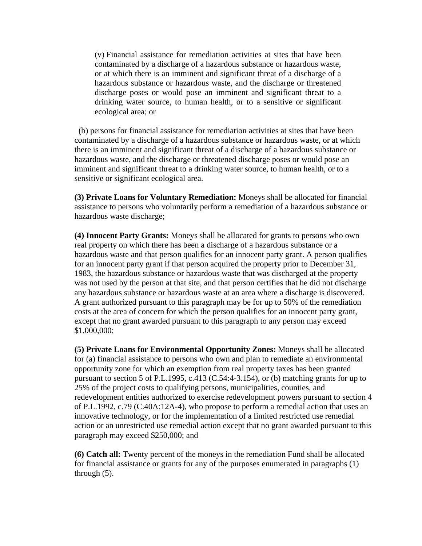(v) Financial assistance for remediation activities at sites that have been contaminated by a discharge of a hazardous substance or hazardous waste, or at which there is an imminent and significant threat of a discharge of a hazardous substance or hazardous waste, and the discharge or threatened discharge poses or would pose an imminent and significant threat to a drinking water source, to human health, or to a sensitive or significant ecological area; or

 (b) persons for financial assistance for remediation activities at sites that have been contaminated by a discharge of a hazardous substance or hazardous waste, or at which there is an imminent and significant threat of a discharge of a hazardous substance or hazardous waste, and the discharge or threatened discharge poses or would pose an imminent and significant threat to a drinking water source, to human health, or to a sensitive or significant ecological area.

**(3) Private Loans for Voluntary Remediation:** Moneys shall be allocated for financial assistance to persons who voluntarily perform a remediation of a hazardous substance or hazardous waste discharge;

**(4) Innocent Party Grants:** Moneys shall be allocated for grants to persons who own real property on which there has been a discharge of a hazardous substance or a hazardous waste and that person qualifies for an innocent party grant. A person qualifies for an innocent party grant if that person acquired the property prior to December 31, 1983, the hazardous substance or hazardous waste that was discharged at the property was not used by the person at that site, and that person certifies that he did not discharge any hazardous substance or hazardous waste at an area where a discharge is discovered. A grant authorized pursuant to this paragraph may be for up to 50% of the remediation costs at the area of concern for which the person qualifies for an innocent party grant, except that no grant awarded pursuant to this paragraph to any person may exceed \$1,000,000;

**(5) Private Loans for Environmental Opportunity Zones:** Moneys shall be allocated for (a) financial assistance to persons who own and plan to remediate an environmental opportunity zone for which an exemption from real property taxes has been granted pursuant to section 5 of P.L.1995, c.413 (C.54:4-3.154), or (b) matching grants for up to 25% of the project costs to qualifying persons, municipalities, counties, and redevelopment entities authorized to exercise redevelopment powers pursuant to section 4 of P.L.1992, c.79 (C.40A:12A-4), who propose to perform a remedial action that uses an innovative technology, or for the implementation of a limited restricted use remedial action or an unrestricted use remedial action except that no grant awarded pursuant to this paragraph may exceed \$250,000; and

**(6) Catch all:** Twenty percent of the moneys in the remediation Fund shall be allocated for financial assistance or grants for any of the purposes enumerated in paragraphs (1) through (5).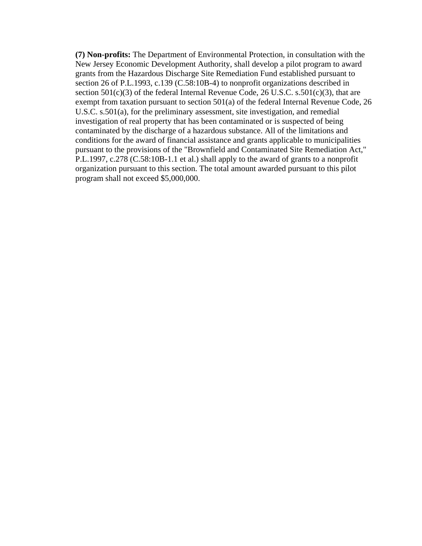**(7) Non-profits:** The Department of Environmental Protection, in consultation with the New Jersey Economic Development Authority, shall develop a pilot program to award grants from the Hazardous Discharge Site Remediation Fund established pursuant to section 26 of P.L.1993, c.139 (C.58:10B-4) to nonprofit organizations described in section  $501(c)(3)$  of the federal Internal Revenue Code, 26 U.S.C. s.501(c)(3), that are exempt from taxation pursuant to section 501(a) of the federal Internal Revenue Code, 26 U.S.C. s.501(a), for the preliminary assessment, site investigation, and remedial investigation of real property that has been contaminated or is suspected of being contaminated by the discharge of a hazardous substance. All of the limitations and conditions for the award of financial assistance and grants applicable to municipalities pursuant to the provisions of the "Brownfield and Contaminated Site Remediation Act," P.L.1997, c.278 (C.58:10B-1.1 et al.) shall apply to the award of grants to a nonprofit organization pursuant to this section. The total amount awarded pursuant to this pilot program shall not exceed \$5,000,000.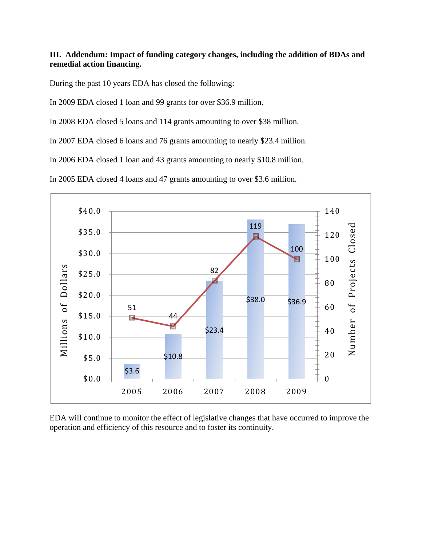# **III. Addendum: Impact of funding category changes, including the addition of BDAs and remedial action financing.**

During the past 10 years EDA has closed the following:

In 2009 EDA closed 1 loan and 99 grants for over \$36.9 million.

In 2008 EDA closed 5 loans and 114 grants amounting to over \$38 million.

In 2007 EDA closed 6 loans and 76 grants amounting to nearly \$23.4 million.

In 2006 EDA closed 1 loan and 43 grants amounting to nearly \$10.8 million.

In 2005 EDA closed 4 loans and 47 grants amounting to over \$3.6 million.



EDA will continue to monitor the effect of legislative changes that have occurred to improve the operation and efficiency of this resource and to foster its continuity.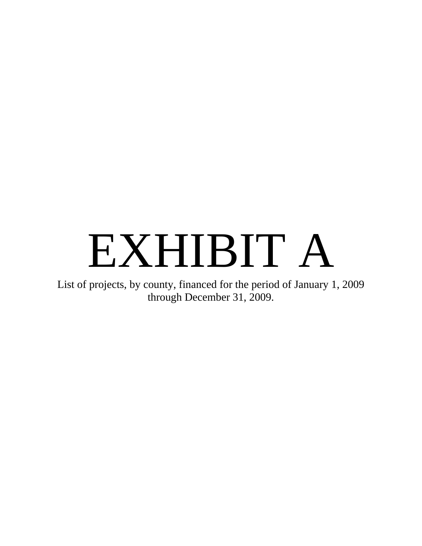# EXHIBIT A

List of projects, by county, financed for the period of January 1, 2009 through December 31, 2009.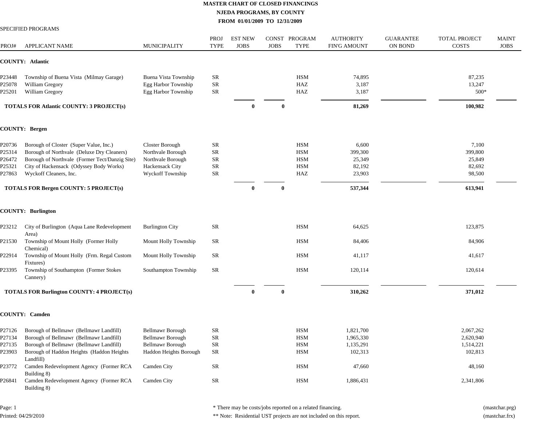|        | SPECIFIED PROGRAMS                                      |                         |                     |                               |              |                              |                                         |                                    |                                      |                             |
|--------|---------------------------------------------------------|-------------------------|---------------------|-------------------------------|--------------|------------------------------|-----------------------------------------|------------------------------------|--------------------------------------|-----------------------------|
| PROJ#  | <b>APPLICANT NAME</b>                                   | <b>MUNICIPALITY</b>     | PROJ<br><b>TYPE</b> | <b>EST NEW</b><br><b>JOBS</b> | <b>JOBS</b>  | CONST PROGRAM<br><b>TYPE</b> | <b>AUTHORITY</b><br><b>FIN'G AMOUNT</b> | <b>GUARANTEE</b><br><b>ON BOND</b> | <b>TOTAL PROJECT</b><br><b>COSTS</b> | <b>MAINT</b><br><b>JOBS</b> |
|        | COUNTY: Atlantic                                        |                         |                     |                               |              |                              |                                         |                                    |                                      |                             |
| P23448 | Township of Buena Vista (Milmay Garage)                 | Buena Vista Township    | SR                  |                               |              | <b>HSM</b>                   | 74,895                                  |                                    | 87,235                               |                             |
| P25078 | William Gregory                                         | Egg Harbor Township     | <b>SR</b>           |                               |              | HAZ                          | 3,187                                   |                                    | 13,247                               |                             |
| P25201 | William Gregory                                         | Egg Harbor Township     | <b>SR</b>           |                               |              | HAZ                          | 3,187                                   |                                    | 500*                                 |                             |
|        | <b>TOTALS FOR Atlantic COUNTY: 3 PROJECT(s)</b>         |                         |                     | $\mathbf{0}$                  | $\bf{0}$     |                              | 81,269                                  |                                    | 100,982                              |                             |
|        | <b>COUNTY: Bergen</b>                                   |                         |                     |                               |              |                              |                                         |                                    |                                      |                             |
| P20736 | Borough of Closter (Super Value, Inc.)                  | Closter Borough         | <b>SR</b>           |                               |              | <b>HSM</b>                   | 6,600                                   |                                    | 7,100                                |                             |
| P25314 | Borough of Northvale (Deluxe Dry Cleaners)              | Northvale Borough       | <b>SR</b>           |                               |              | <b>HSM</b>                   | 399,300                                 |                                    | 399,800                              |                             |
| P26472 | Borough of Northvale (Former Tect/Danzig Site)          | Northvale Borough       | <b>SR</b>           |                               |              | <b>HSM</b>                   | 25,349                                  |                                    | 25,849                               |                             |
| P25321 | City of Hackensack (Odyssey Body Works)                 | Hackensack City         | <b>SR</b>           |                               |              | <b>HSM</b>                   | 82,192                                  |                                    | 82,692                               |                             |
| P27863 | Wyckoff Cleaners, Inc.                                  | Wyckoff Township        | <b>SR</b>           |                               |              | HAZ                          | 23,903                                  |                                    | 98,500                               |                             |
|        | TOTALS FOR Bergen COUNTY: 5 PROJECT(s)                  |                         |                     | $\mathbf{0}$                  | $\mathbf{0}$ |                              | 537,344                                 |                                    | 613,941                              |                             |
|        | <b>COUNTY: Burlington</b>                               |                         |                     |                               |              |                              |                                         |                                    |                                      |                             |
| P23212 | City of Burlington (Aqua Lane Redevelopment<br>Area)    | <b>Burlington City</b>  | <b>SR</b>           |                               |              | <b>HSM</b>                   | 64,625                                  |                                    | 123,875                              |                             |
| P21530 | Township of Mount Holly (Former Holly<br>Chemical)      | Mount Holly Township    | SR                  |                               |              | <b>HSM</b>                   | 84,406                                  |                                    | 84,906                               |                             |
| P22914 | Township of Mount Holly (Frm. Regal Custom<br>Fixtures) | Mount Holly Township    | SR                  |                               |              | <b>HSM</b>                   | 41,117                                  |                                    | 41,617                               |                             |
| P23395 | Township of Southampton (Former Stokes<br>Cannery)      | Southampton Township    | <b>SR</b>           |                               |              | <b>HSM</b>                   | 120,114                                 |                                    | 120,614                              |                             |
|        | <b>TOTALS FOR Burlington COUNTY: 4 PROJECT(s)</b>       |                         |                     | $\theta$                      |              |                              | 310,262                                 |                                    | 371,012                              |                             |
|        | <b>COUNTY: Camden</b>                                   |                         |                     |                               |              |                              |                                         |                                    |                                      |                             |
| P27126 | Borough of Bellmawr (Bellmawr Landfill)                 | <b>Bellmawr Borough</b> | SR                  |                               |              | <b>HSM</b>                   | 1,821,700                               |                                    | 2,067,262                            |                             |
| P27134 | Borough of Bellmawr (Bellmawr Landfill)                 | <b>Bellmawr Borough</b> | SR                  |                               |              | <b>HSM</b>                   | 1,965,330                               |                                    | 2,620,940                            |                             |
| P27135 | Borough of Bellmawr (Bellmawr Landfill)                 | <b>Bellmawr Borough</b> | SR                  |                               |              | HSM                          | 1,135,291                               |                                    | 1,514,221                            |                             |
| P23903 | Borough of Haddon Heights (Haddon Heights<br>Landfill)  | Haddon Heights Borough  | <b>SR</b>           |                               |              | <b>HSM</b>                   | 102,313                                 |                                    | 102,813                              |                             |
| P23772 | Camden Redevelopment Agency (Former RCA<br>Building 8)  | Camden City             | SR                  |                               |              | HSM                          | 47,660                                  |                                    | 48,160                               |                             |
| P26841 | Camden Redevelopment Agency (Former RCA<br>Building 8)  | Camden City             | ${\sf SR}$          |                               |              | HSM                          | 1,886,431                               |                                    | 2,341,806                            |                             |

Page: 1 Printed: 04/29/2010 \* There may be costs/jobs reported on a related financing. (mastchar.prg)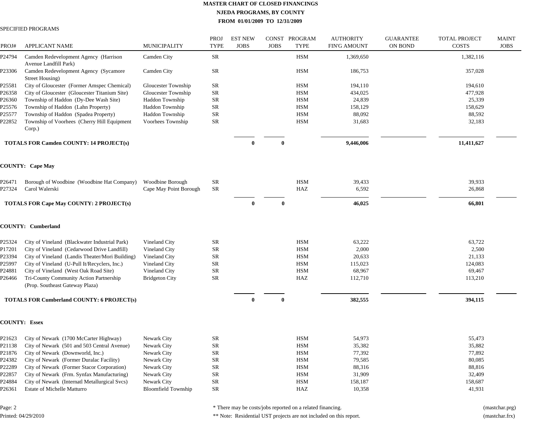#### SPECIFIED PROGRAMS

| PROJ#  | <b>APPLICANT NAME</b>                                                      | <b>MUNICIPALITY</b>        | PROJ<br><b>TYPE</b> | <b>EST NEW</b><br><b>JOBS</b> | <b>JOBS</b> | CONST PROGRAM<br><b>TYPE</b> | <b>AUTHORITY</b><br><b>FIN'G AMOUNT</b> | <b>GUARANTEE</b><br><b>ON BOND</b> | <b>TOTAL PROJECT</b><br><b>COSTS</b> | <b>MAINT</b><br><b>JOBS</b> |
|--------|----------------------------------------------------------------------------|----------------------------|---------------------|-------------------------------|-------------|------------------------------|-----------------------------------------|------------------------------------|--------------------------------------|-----------------------------|
| P24794 | Camden Redevelopment Agency (Harrison<br>Avenue Landfill Park)             | Camden City                | SR                  |                               |             | <b>HSM</b>                   | 1,369,650                               |                                    | 1,382,116                            |                             |
| P23306 | Camden Redevelopment Agency (Sycamore<br>Street Housing)                   | Camden City                | SR                  |                               |             | <b>HSM</b>                   | 186,753                                 |                                    | 357,028                              |                             |
| P25581 | City of Gloucester (Former Amspec Chemical)                                | Gloucester Township        | <b>SR</b>           |                               |             | HSM                          | 194,110                                 |                                    | 194,610                              |                             |
| P26358 | City of Gloucester (Gloucester Titanium Site)                              | Gloucester Township        | <b>SR</b>           |                               |             | <b>HSM</b>                   | 434,025                                 |                                    | 477,928                              |                             |
| P26360 | Township of Haddon (Dy-Dee Wash Site)                                      | Haddon Township            | <b>SR</b>           |                               |             | <b>HSM</b>                   | 24,839                                  |                                    | 25,339                               |                             |
| P25576 | Township of Haddon (Lahn Property)                                         | Haddon Township            | ${\rm SR}$          |                               |             | <b>HSM</b>                   | 158,129                                 |                                    | 158,629                              |                             |
| P25577 | Township of Haddon (Spadea Property)                                       | Haddon Township            | <b>SR</b>           |                               |             | <b>HSM</b>                   | 88,092                                  |                                    | 88,592                               |                             |
| P22852 | Township of Voorhees (Cherry Hill Equipment<br>Corp.)                      | Voorhees Township          | <b>SR</b>           |                               |             | <b>HSM</b>                   | 31,683                                  |                                    | 32,183                               |                             |
|        | <b>TOTALS FOR Camden COUNTY: 14 PROJECT(s)</b>                             |                            |                     | $\theta$                      | 0           |                              | 9,446,006                               |                                    | 11,411,627                           |                             |
|        | <b>COUNTY: Cape May</b>                                                    |                            |                     |                               |             |                              |                                         |                                    |                                      |                             |
| P26471 | Borough of Woodbine (Woodbine Hat Company)                                 | Woodbine Borough           | SR                  |                               |             | <b>HSM</b>                   | 39,433                                  |                                    | 39,933                               |                             |
| P27324 | Carol Walerski                                                             | Cape May Point Borough     | <b>SR</b>           |                               |             | HAZ                          | 6,592                                   |                                    | 26,868                               |                             |
|        | <b>TOTALS FOR Cape May COUNTY: 2 PROJECT(s)</b>                            |                            |                     | $\mathbf{0}$                  | $\bf{0}$    |                              | 46,025                                  |                                    | 66,801                               |                             |
|        | <b>COUNTY: Cumberland</b>                                                  |                            |                     |                               |             |                              |                                         |                                    |                                      |                             |
| P25324 | City of Vineland (Blackwater Industrial Park)                              | Vineland City              | SR                  |                               |             | <b>HSM</b>                   | 63,222                                  |                                    | 63,722                               |                             |
| P17201 | City of Vineland (Cedarwood Drive Landfill)                                | Vineland City              | ${\rm SR}$          |                               |             | <b>HSM</b>                   | 2,000                                   |                                    | 2,500                                |                             |
| P23394 | City of Vineland (Landis Theater/Mori Building)                            | Vineland City              | <b>SR</b>           |                               |             | <b>HSM</b>                   | 20,633                                  |                                    | 21,133                               |                             |
| P25997 | City of Vineland (U-Pull It/Recyclers, Inc.)                               | Vineland City              | SR                  |                               |             | <b>HSM</b>                   | 115,023                                 |                                    | 124,083                              |                             |
| P24881 | City of Vineland (West Oak Road Site)                                      | Vineland City              | SR                  |                               |             | <b>HSM</b>                   | 68,967                                  |                                    | 69,467                               |                             |
| P26466 | Tri-County Community Action Partnership<br>(Prop. Southeast Gateway Plaza) | <b>Bridgeton City</b>      | <b>SR</b>           |                               |             | HAZ                          | 112,710                                 |                                    | 113,210                              |                             |
|        | <b>TOTALS FOR Cumberland COUNTY: 6 PROJECT(s)</b>                          |                            |                     | $\theta$                      | 0           |                              | 382,555                                 |                                    | 394,115                              |                             |
|        | <b>COUNTY: Essex</b>                                                       |                            |                     |                               |             |                              |                                         |                                    |                                      |                             |
| P21623 | City of Newark (1700 McCarter Highway)                                     | Newark City                | SR                  |                               |             | <b>HSM</b>                   | 54,973                                  |                                    | 55,473                               |                             |
| P21138 | City of Newark (501 and 503 Central Avenue)                                | Newark City                | <b>SR</b>           |                               |             | <b>HSM</b>                   | 35,382                                  |                                    | 35,882                               |                             |
| P21876 | City of Newark (Downworld, Inc.)                                           | Newark City                | ${\rm SR}$          |                               |             | <b>HSM</b>                   | 77,392                                  |                                    | 77,892                               |                             |
| P24382 | City of Newark (Former Duralac Facility)                                   | Newark City                | <b>SR</b>           |                               |             | <b>HSM</b>                   | 79,585                                  |                                    | 80,085                               |                             |
| P22289 | City of Newark (Former Stacor Corporation)                                 | Newark City                | ${\rm SR}$          |                               |             | <b>HSM</b>                   | 88,316                                  |                                    | 88,816                               |                             |
| P22857 | City of Newark (Frm. Synfax Manufacturing)                                 | Newark City                | <b>SR</b>           |                               |             | <b>HSM</b>                   | 31,909                                  |                                    | 32,409                               |                             |
| P24884 | City of Newark (Internatl Metallurgical Svcs)                              | Newark City                | <b>SR</b>           |                               |             | <b>HSM</b>                   | 158,187                                 |                                    | 158,687                              |                             |
| P26361 | <b>Estate of Michelle Matturro</b>                                         | <b>Bloomfield Township</b> | <b>SR</b>           |                               |             | HAZ                          | 10,358                                  |                                    | 41,931                               |                             |
|        |                                                                            |                            |                     |                               |             |                              |                                         |                                    |                                      |                             |

Page: 2 Printed: 04/29/2010 \* There may be costs/jobs reported on a related financing. (mastchar.prg)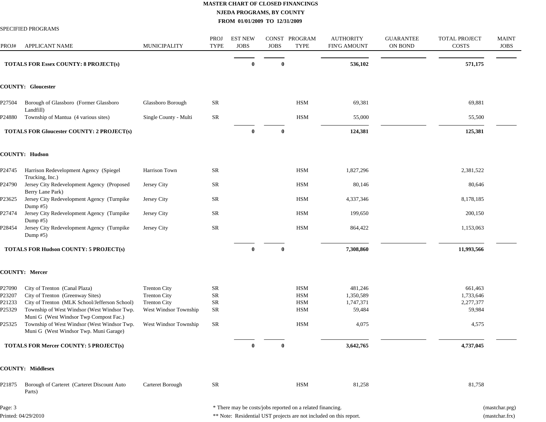|         | SPECIFIED PROGRAMS                                                                    |                       |                     |                               |              |                                                            |                                         |                             |                               |                             |
|---------|---------------------------------------------------------------------------------------|-----------------------|---------------------|-------------------------------|--------------|------------------------------------------------------------|-----------------------------------------|-----------------------------|-------------------------------|-----------------------------|
| PROJ#   | <b>APPLICANT NAME</b>                                                                 | MUNICIPALITY          | PROJ<br><b>TYPE</b> | <b>EST NEW</b><br><b>JOBS</b> | <b>JOBS</b>  | CONST PROGRAM<br><b>TYPE</b>                               | <b>AUTHORITY</b><br><b>FIN'G AMOUNT</b> | <b>GUARANTEE</b><br>ON BOND | <b>TOTAL PROJECT</b><br>COSTS | <b>MAINT</b><br><b>JOBS</b> |
|         | <b>TOTALS FOR Essex COUNTY: 8 PROJECT(s)</b>                                          |                       |                     | $\bf{0}$                      | $\bf{0}$     |                                                            | 536,102                                 |                             | 571,175                       |                             |
|         | <b>COUNTY: Gloucester</b>                                                             |                       |                     |                               |              |                                                            |                                         |                             |                               |                             |
| P27504  | Borough of Glassboro (Former Glassboro<br>Landfill)                                   | Glassboro Borough     | SR                  |                               |              | <b>HSM</b>                                                 | 69,381                                  |                             | 69,881                        |                             |
| P24880  | Township of Mantua (4 various sites)                                                  | Single County - Multi | <b>SR</b>           |                               |              | <b>HSM</b>                                                 | 55,000                                  |                             | 55,500                        |                             |
|         | <b>TOTALS FOR Gloucester COUNTY: 2 PROJECT(s)</b>                                     |                       |                     | $\bf{0}$                      | $\bf{0}$     |                                                            | 124,381                                 |                             | 125,381                       |                             |
|         | <b>COUNTY: Hudson</b>                                                                 |                       |                     |                               |              |                                                            |                                         |                             |                               |                             |
| P24745  | Harrison Redevelopment Agency (Spiegel<br>Trucking, Inc.)                             | Harrison Town         | SR                  |                               |              | HSM                                                        | 1,827,296                               |                             | 2,381,522                     |                             |
| P24790  | Jersey City Redevelopment Agency (Proposed<br>Berry Lane Park)                        | Jersey City           | SR                  |                               |              | HSM                                                        | 80,146                                  |                             | 80,646                        |                             |
| P23625  | Jersey City Redevelopment Agency (Turnpike<br>Dump $#5)$                              | Jersey City           | SR                  |                               |              | HSM                                                        | 4,337,346                               |                             | 8,178,185                     |                             |
| P27474  | Jersey City Redevelopment Agency (Turnpike<br>Dump $#5)$                              | Jersey City           | <b>SR</b>           |                               |              | <b>HSM</b>                                                 | 199,650                                 |                             | 200,150                       |                             |
| P28454  | Jersey City Redevelopment Agency (Turnpike<br>Dump $#5)$                              | Jersey City           | <b>SR</b>           |                               |              | <b>HSM</b>                                                 | 864,422                                 |                             | 1,153,063                     |                             |
|         | <b>TOTALS FOR Hudson COUNTY: 5 PROJECT(s)</b>                                         |                       |                     | $\bf{0}$                      | $\bf{0}$     |                                                            | 7,308,860                               |                             | 11,993,566                    |                             |
|         | <b>COUNTY: Mercer</b>                                                                 |                       |                     |                               |              |                                                            |                                         |                             |                               |                             |
| P27090  | City of Trenton (Canal Plaza)                                                         | <b>Trenton City</b>   | <b>SR</b>           |                               |              | <b>HSM</b>                                                 | 481,246                                 |                             | 661,463                       |                             |
| P23207  | City of Trenton (Greenway Sites)                                                      | <b>Trenton City</b>   | SR                  |                               |              | <b>HSM</b>                                                 | 1,350,589                               |                             | 1,733,646                     |                             |
| P21233  | City of Trenton (MLK School/Jefferson School)                                         | <b>Trenton City</b>   | ${\rm SR}$          |                               |              | <b>HSM</b>                                                 | 1,747,371                               |                             | 2,277,377                     |                             |
| P25329  | Township of West Windsor (West Windsor Twp.<br>Muni G (West Windsor Twp Compost Fac.) | West Windsor Township | <b>SR</b>           |                               |              | HSM                                                        | 59,484                                  |                             | 59,984                        |                             |
| P25325  | Township of West Windsor (West Windsor Twp.<br>Muni G (West Windsor Twp. Muni Garage) | West Windsor Township | SR                  |                               |              | HSM                                                        | 4,075                                   |                             | 4,575                         |                             |
|         | TOTALS FOR Mercer COUNTY: 5 PROJECT(s)                                                |                       |                     | $\bf{0}$                      | $\mathbf{0}$ |                                                            | 3,642,765                               |                             | 4,737,045                     |                             |
|         | <b>COUNTY: Middlesex</b>                                                              |                       |                     |                               |              |                                                            |                                         |                             |                               |                             |
| P21875  | Borough of Carteret (Carteret Discount Auto<br>Parts)                                 | Carteret Borough      | <b>SR</b>           |                               |              | <b>HSM</b>                                                 | 81,258                                  |                             | 81,758                        |                             |
| Page: 3 |                                                                                       |                       |                     |                               |              | * There may be costs/jobs reported on a related financing. |                                         |                             |                               | (mastchar.prg)              |

Printed: 04/29/2010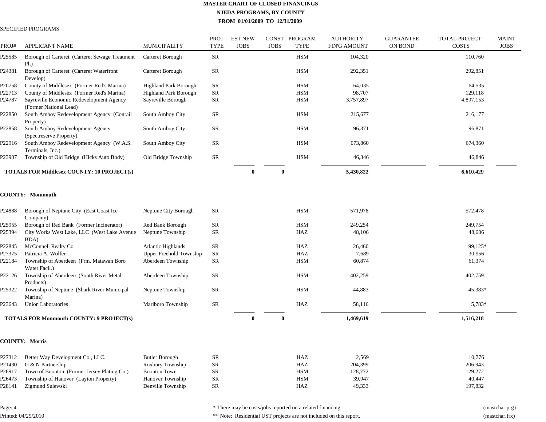#### SPECIFIED PROGRAMS

| PROJ#  | <b>APPLICANT NAME</b>                                              | <b>MUNICIPALITY</b>          | PROJ<br><b>TYPE</b> | <b>EST NEW</b><br><b>JOBS</b> | <b>JOBS</b> | CONST PROGRAM<br><b>TYPE</b> | <b>AUTHORITY</b><br><b>FIN'G AMOUNT</b> | <b>GUARANTEE</b><br>ON BOND | <b>TOTAL PROJECT</b><br><b>COSTS</b> | <b>MAINT</b><br><b>JOBS</b> |
|--------|--------------------------------------------------------------------|------------------------------|---------------------|-------------------------------|-------------|------------------------------|-----------------------------------------|-----------------------------|--------------------------------------|-----------------------------|
| P25585 | Borough of Carteret (Carteret Sewage Treatment<br>Plt)             | Carteret Borough             | <b>SR</b>           |                               |             | <b>HSM</b>                   | 104,320                                 |                             | 110,760                              |                             |
| P24381 | Borough of Carteret (Carteret Waterfront<br>Develop)               | Carteret Borough             | SR                  |                               |             | <b>HSM</b>                   | 292,351                                 |                             | 292,851                              |                             |
| P20758 | County of Middlesex (Former Red's Marina)                          | <b>Highland Park Borough</b> | SR                  |                               |             | <b>HSM</b>                   | 64,035                                  |                             | 64,535                               |                             |
| P22713 | County of Middlesex (Former Red's Marina)                          | <b>Highland Park Borough</b> | SR                  |                               |             | <b>HSM</b>                   | 98,707                                  |                             | 129,118                              |                             |
| P24787 | Sayreville Economic Redevelopment Agency<br>(Former National Lead) | Sayreville Borough           | <b>SR</b>           |                               |             | <b>HSM</b>                   | 3,757,897                               |                             | 4,897,153                            |                             |
| P22850 | South Amboy Redevelopment Agency (Conrail<br>Property)             | South Amboy City             | <b>SR</b>           |                               |             | <b>HSM</b>                   | 215,677                                 |                             | 216,177                              |                             |
| P22858 | South Amboy Redevelopment Agency<br>(Spectreserve Property)        | South Amboy City             | <b>SR</b>           |                               |             | <b>HSM</b>                   | 96,371                                  |                             | 96,871                               |                             |
| P22916 | South Amboy Redevelopment Agency (W.A.S.<br>Terminals, Inc.)       | South Amboy City             | <b>SR</b>           |                               |             | <b>HSM</b>                   | 673,860                                 |                             | 674,360                              |                             |
| P23907 | Township of Old Bridge (Hicks Auto Body)                           | Old Bridge Township          | <b>SR</b>           |                               |             | <b>HSM</b>                   | 46,346                                  |                             | 46,846                               |                             |
|        | <b>TOTALS FOR Middlesex COUNTY: 10 PROJECT(s)</b>                  |                              |                     | $\mathbf{0}$                  | $\bf{0}$    |                              | 5,430,822                               |                             | 6,610,429                            |                             |
|        | <b>COUNTY: Monmouth</b>                                            |                              |                     |                               |             |                              |                                         |                             |                                      |                             |
| P24888 | Borough of Neptune City (East Coast Ice<br>Company)                | Neptune City Borough         | <b>SR</b>           |                               |             | <b>HSM</b>                   | 571,978                                 |                             | 572,478                              |                             |
| P25955 | Borough of Red Bank (Former Incinerator)                           | Red Bank Borough             | ${\rm SR}$          |                               |             | <b>HSM</b>                   | 249,254                                 |                             | 249,754                              |                             |
| P25394 | City Works West Lake, LLC (West Lake Avenue<br>BDA)                | Neptune Township             | <b>SR</b>           |                               |             | HAZ                          | 48,106                                  |                             | 48,606                               |                             |
| P22845 | McConnell Realty Co                                                | <b>Atlantic Highlands</b>    | <b>SR</b>           |                               |             | HAZ                          | 26,460                                  |                             | 99,125*                              |                             |
| P27375 | Patricia A. Wolfer                                                 | Upper Freehold Township      | <b>SR</b>           |                               |             | HAZ                          | 7,689                                   |                             | 30,956                               |                             |
| P22184 | Township of Aberdeen (Frm. Matawan Boro<br>Water Facil.)           | Aberdeen Township            | <b>SR</b>           |                               |             | <b>HSM</b>                   | 60,874                                  |                             | 61,374                               |                             |
| P22126 | Township of Aberdeen (South River Metal<br>Products)               | Aberdeen Township            | SR                  |                               |             | <b>HSM</b>                   | 402,259                                 |                             | 402,759                              |                             |
| P25322 | Township of Neptune (Shark River Municipal<br>Marina)              | Neptune Township             | SR                  |                               |             | <b>HSM</b>                   | 44,883                                  |                             | 45,383*                              |                             |
| P23643 | <b>Union Laboratories</b>                                          | Marlboro Township            | SR                  |                               |             | HAZ                          | 58,116                                  |                             | 5,783*                               |                             |
|        | <b>TOTALS FOR Monmouth COUNTY: 9 PROJECT(s)</b>                    |                              |                     | $\mathbf{0}$                  | $\bf{0}$    |                              | 1,469,619                               |                             | 1,516,218                            |                             |
|        | <b>COUNTY: Morris</b>                                              |                              |                     |                               |             |                              |                                         |                             |                                      |                             |
| P27312 | Better Way Development Co., LLC.                                   | <b>Butler Borough</b>        | SR                  |                               |             | HAZ                          | 2,569                                   |                             | 10,776                               |                             |
| P21430 | G & N Partnership                                                  | Roxbury Township             | <b>SR</b>           |                               |             | HAZ                          | 204,399                                 |                             | 206,943                              |                             |
| P26917 | Town of Boonton (Former Jersey Plating Co.)                        | <b>Boonton Town</b>          | <b>SR</b>           |                               |             | <b>HSM</b>                   | 128,772                                 |                             | 129,272                              |                             |
| P26473 | Township of Hanover (Layton Property)                              | Hanover Township             | <b>SR</b>           |                               |             | <b>HSM</b>                   | 39,947                                  |                             | 40,447                               |                             |
| P28141 | Zigmund Sulewski                                                   | Denville Township            | <b>SR</b>           |                               |             | HAZ                          | 49,333                                  |                             | 197,832                              |                             |

Page: 4 Printed: 04/29/2010 \* There may be costs/jobs reported on a related financing. (mastchar.prg)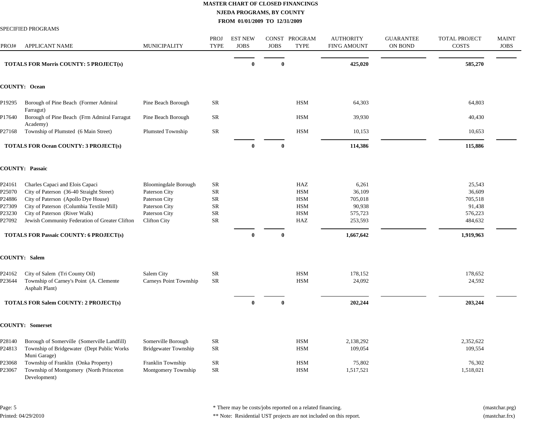MAINT JOBS

|                                                          | SPECIFIED PROGRAMS                                                                                                                                                                                                                                |                                                                                                                        |                                                                         |                               |              |                                                                    |                                                            |                             |                                                             |                   |
|----------------------------------------------------------|---------------------------------------------------------------------------------------------------------------------------------------------------------------------------------------------------------------------------------------------------|------------------------------------------------------------------------------------------------------------------------|-------------------------------------------------------------------------|-------------------------------|--------------|--------------------------------------------------------------------|------------------------------------------------------------|-----------------------------|-------------------------------------------------------------|-------------------|
| PROJ#                                                    | <b>APPLICANT NAME</b>                                                                                                                                                                                                                             | MUNICIPALITY                                                                                                           | <b>PROJ</b><br><b>TYPE</b>                                              | <b>EST NEW</b><br><b>JOBS</b> | <b>JOBS</b>  | CONST PROGRAM<br><b>TYPE</b>                                       | <b>AUTHORITY</b><br><b>FIN'G AMOUNT</b>                    | <b>GUARANTEE</b><br>ON BOND | <b>TOTAL PROJECT</b><br><b>COSTS</b>                        | MAI<br><b>JOI</b> |
|                                                          | <b>TOTALS FOR Morris COUNTY: 5 PROJECT(s)</b>                                                                                                                                                                                                     |                                                                                                                        |                                                                         | $\mathbf{0}$                  | $\mathbf{0}$ |                                                                    | 425,020                                                    |                             | 585,270                                                     |                   |
|                                                          | <b>COUNTY: Ocean</b>                                                                                                                                                                                                                              |                                                                                                                        |                                                                         |                               |              |                                                                    |                                                            |                             |                                                             |                   |
| P19295                                                   | Borough of Pine Beach (Former Admiral<br>Farragut)                                                                                                                                                                                                | Pine Beach Borough                                                                                                     | SR                                                                      |                               |              | <b>HSM</b>                                                         | 64,303                                                     |                             | 64,803                                                      |                   |
| P17640                                                   | Borough of Pine Beach (Frm Admiral Farragut<br>Academy)                                                                                                                                                                                           | Pine Beach Borough                                                                                                     | <b>SR</b>                                                               |                               |              | <b>HSM</b>                                                         | 39,930                                                     |                             | 40,430                                                      |                   |
| P27168                                                   | Township of Plumsted (6 Main Street)                                                                                                                                                                                                              | Plumsted Township                                                                                                      | SR                                                                      |                               |              | <b>HSM</b>                                                         | 10,153                                                     |                             | 10,653                                                      |                   |
|                                                          | <b>TOTALS FOR Ocean COUNTY: 3 PROJECT(s)</b>                                                                                                                                                                                                      |                                                                                                                        |                                                                         | $\mathbf{0}$                  | 0            |                                                                    | 114,386                                                    |                             | 115,886                                                     |                   |
|                                                          | <b>COUNTY: Passaic</b>                                                                                                                                                                                                                            |                                                                                                                        |                                                                         |                               |              |                                                                    |                                                            |                             |                                                             |                   |
| P24161<br>P25070<br>P24886<br>P27309<br>P23230<br>P27092 | Charles Capaci and Elois Capaci<br>City of Paterson (36-40 Straight Street)<br>City of Paterson (Apollo Dye House)<br>City of Paterson (Columbia Textile Mill)<br>City of Paterson (River Walk)<br>Jewish Community Federation of Greater Clifton | <b>Bloomingdale Borough</b><br>Paterson City<br>Paterson City<br>Paterson City<br>Paterson City<br><b>Clifton City</b> | SR<br>${\rm SR}$<br>${\rm SR}$<br>${\sf SR}$<br><b>SR</b><br>${\rm SR}$ |                               |              | HAZ<br><b>HSM</b><br><b>HSM</b><br><b>HSM</b><br><b>HSM</b><br>HAZ | 6,261<br>36,109<br>705,018<br>90,938<br>575,723<br>253,593 |                             | 25,543<br>36,609<br>705,518<br>91,438<br>576,223<br>484,632 |                   |
|                                                          | <b>TOTALS FOR Passaic COUNTY: 6 PROJECT(s)</b>                                                                                                                                                                                                    |                                                                                                                        |                                                                         | $\theta$                      | $\theta$     |                                                                    | 1,667,642                                                  |                             | 1,919,963                                                   |                   |
|                                                          | <b>COUNTY: Salem</b>                                                                                                                                                                                                                              |                                                                                                                        |                                                                         |                               |              |                                                                    |                                                            |                             |                                                             |                   |
| P24162<br>P23644                                         | City of Salem (Tri County Oil)<br>Township of Carney's Point (A. Clemente<br><b>Asphalt Plant</b> )                                                                                                                                               | Salem City<br>Carneys Point Township                                                                                   | <b>SR</b><br>SR                                                         |                               |              | <b>HSM</b><br><b>HSM</b>                                           | 178,152<br>24,092                                          |                             | 178,652<br>24,592                                           |                   |
|                                                          | <b>TOTALS FOR Salem COUNTY: 2 PROJECT(s)</b>                                                                                                                                                                                                      |                                                                                                                        |                                                                         | $\mathbf{0}$                  | $\mathbf{0}$ |                                                                    | 202,244                                                    |                             | 203,244                                                     |                   |
|                                                          | <b>COUNTY: Somerset</b>                                                                                                                                                                                                                           |                                                                                                                        |                                                                         |                               |              |                                                                    |                                                            |                             |                                                             |                   |
| P28140<br>P24813                                         | Borough of Somerville (Somerville Landfill)<br>Township of Bridgewater (Dept Public Works<br>Muni Garage)                                                                                                                                         | Somerville Borough<br><b>Bridgewater Township</b>                                                                      | SR<br>${\rm SR}$                                                        |                               |              | <b>HSM</b><br><b>HSM</b>                                           | 2,138,292<br>109,054                                       |                             | 2,352,622<br>109,554                                        |                   |

P23068 Township of Franklin (Onka Property) Franklin Township SR HSM 75,802 76,302 P23067 Township of Montgomery (North Princeton Development) Montgomery Township SR HSM 1,517,521 1,518,021

Page: 5 Printed: 04/29/2010 \* There may be costs/jobs reported on a related financing. (mastchar.prg)